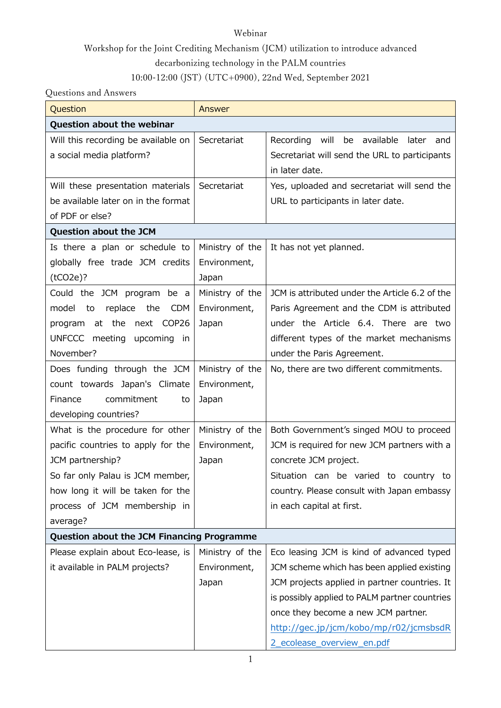#### Webinar

## Workshop for the Joint Crediting Mechanism (JCM) utilization to introduce advanced decarbonizing technology in the PALM countries

### 10:00-12:00 (JST) (UTC+0900), 22nd Wed, September 2021

#### Questions and Answers

| Question                                   | Answer          |                                                |  |
|--------------------------------------------|-----------------|------------------------------------------------|--|
| Question about the webinar                 |                 |                                                |  |
| Will this recording be available on        | Secretariat     | Recording<br>will<br>be available<br>later and |  |
| a social media platform?                   |                 | Secretariat will send the URL to participants  |  |
|                                            |                 | in later date.                                 |  |
| Will these presentation materials          | Secretariat     | Yes, uploaded and secretariat will send the    |  |
| be available later on in the format        |                 | URL to participants in later date.             |  |
| of PDF or else?                            |                 |                                                |  |
| Question about the JCM                     |                 |                                                |  |
| Is there a plan or schedule to             | Ministry of the | It has not yet planned.                        |  |
| globally free trade JCM credits            | Environment,    |                                                |  |
| (tCO2e)?                                   | Japan           |                                                |  |
| Could the JCM program be a                 | Ministry of the | JCM is attributed under the Article 6.2 of the |  |
| replace the<br>model to<br>CDM             | Environment,    | Paris Agreement and the CDM is attributed      |  |
| program at the next COP26                  | Japan           | under the Article 6.4. There are two           |  |
| UNFCCC meeting upcoming in                 |                 | different types of the market mechanisms       |  |
| November?                                  |                 | under the Paris Agreement.                     |  |
| Does funding through the JCM               | Ministry of the | No, there are two different commitments.       |  |
| count towards Japan's Climate              | Environment,    |                                                |  |
| commitment<br>Finance<br>to                | Japan           |                                                |  |
| developing countries?                      |                 |                                                |  |
| What is the procedure for other            | Ministry of the | Both Government's singed MOU to proceed        |  |
| pacific countries to apply for the         | Environment,    | JCM is required for new JCM partners with a    |  |
| JCM partnership?                           | Japan           | concrete JCM project.                          |  |
| So far only Palau is JCM member,           |                 | Situation can be varied to country to          |  |
| how long it will be taken for the          |                 | country. Please consult with Japan embassy     |  |
| process of JCM membership in               |                 | in each capital at first.                      |  |
| average?                                   |                 |                                                |  |
| Question about the JCM Financing Programme |                 |                                                |  |
| Please explain about Eco-lease, is         | Ministry of the | Eco leasing JCM is kind of advanced typed      |  |
| it available in PALM projects?             | Environment,    | JCM scheme which has been applied existing     |  |
|                                            | Japan           | JCM projects applied in partner countries. It  |  |
|                                            |                 | is possibly applied to PALM partner countries  |  |
|                                            |                 | once they become a new JCM partner.            |  |
|                                            |                 | http://gec.jp/jcm/kobo/mp/r02/jcmsbsdR         |  |
|                                            |                 | 2_ecolease_overview_en.pdf                     |  |